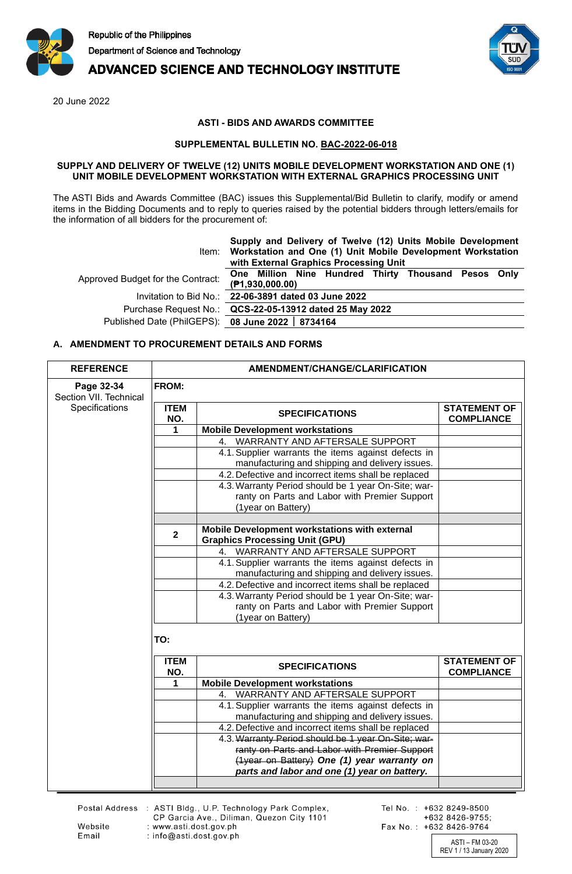

# **ADVANCED SCIENCE AND TECHNOLOGY INSTITUTE**

20 June 2022

## **ASTI - BIDS AND AWARDS COMMITTEE**

### **SUPPLEMENTAL BULLETIN NO. BAC-2022-06-018**

#### **SUPPLY AND DELIVERY OF TWELVE (12) UNITS MOBILE DEVELOPMENT WORKSTATION AND ONE (1) UNIT MOBILE DEVELOPMENT WORKSTATION WITH EXTERNAL GRAPHICS PROCESSING UNIT**

The ASTI Bids and Awards Committee (BAC) issues this Supplemental/Bid Bulletin to clarify, modify or amend items in the Bidding Documents and to reply to queries raised by the potential bidders through letters/emails for the information of all bidders for the procurement of:

|                                                   | Supply and Delivery of Twelve (12) Units Mobile Development<br>Item: Workstation and One (1) Unit Mobile Development Workstation<br>with External Graphics Processing Unit |  |  |
|---------------------------------------------------|----------------------------------------------------------------------------------------------------------------------------------------------------------------------------|--|--|
| Approved Budget for the Contract:                 | One Million Nine Hundred Thirty Thousand Pesos Only<br>(P1,930,000.00)                                                                                                     |  |  |
|                                                   | Invitation to Bid No.: 22-06-3891 dated 03 June 2022                                                                                                                       |  |  |
|                                                   | Purchase Request No.: QCS-22-05-13912 dated 25 May 2022                                                                                                                    |  |  |
| Published Date (PhilGEPS): 08 June 2022   8734164 |                                                                                                                                                                            |  |  |
|                                                   |                                                                                                                                                                            |  |  |

## **A. AMENDMENT TO PROCUREMENT DETAILS AND FORMS**

| <b>REFERENCE</b>                     | AMENDMENT/CHANGE/CLARIFICATION |                                                      |                                          |
|--------------------------------------|--------------------------------|------------------------------------------------------|------------------------------------------|
| Page 32-34<br>Section VII. Technical | <b>FROM:</b>                   |                                                      |                                          |
| Specifications                       | <b>ITEM</b><br>NO.             | <b>SPECIFICATIONS</b>                                | <b>STATEMENT OF</b><br><b>COMPLIANCE</b> |
|                                      | 1                              | <b>Mobile Development workstations</b>               |                                          |
|                                      |                                | 4. WARRANTY AND AFTERSALE SUPPORT                    |                                          |
|                                      |                                | 4.1. Supplier warrants the items against defects in  |                                          |
|                                      |                                | manufacturing and shipping and delivery issues.      |                                          |
|                                      |                                | 4.2. Defective and incorrect items shall be replaced |                                          |
|                                      |                                | 4.3. Warranty Period should be 1 year On-Site; war-  |                                          |
|                                      |                                | ranty on Parts and Labor with Premier Support        |                                          |
|                                      |                                | (1year on Battery)                                   |                                          |
|                                      |                                | Mobile Development workstations with external        |                                          |
|                                      | $\overline{2}$                 | <b>Graphics Processing Unit (GPU)</b>                |                                          |
|                                      |                                | WARRANTY AND AFTERSALE SUPPORT<br>4.                 |                                          |
|                                      |                                | 4.1. Supplier warrants the items against defects in  |                                          |
|                                      |                                | manufacturing and shipping and delivery issues.      |                                          |
|                                      |                                | 4.2. Defective and incorrect items shall be replaced |                                          |
|                                      |                                | 4.3. Warranty Period should be 1 year On-Site; war-  |                                          |
|                                      |                                | ranty on Parts and Labor with Premier Support        |                                          |
|                                      |                                | (1year on Battery)                                   |                                          |
|                                      | TO:<br><b>ITEM</b>             | <b>SPECIFICATIONS</b>                                | <b>STATEMENT OF</b>                      |
|                                      | NO.<br>1                       | <b>Mobile Development workstations</b>               | <b>COMPLIANCE</b>                        |
|                                      |                                | 4. WARRANTY AND AFTERSALE SUPPORT                    |                                          |
|                                      |                                | 4.1. Supplier warrants the items against defects in  |                                          |
|                                      |                                | manufacturing and shipping and delivery issues.      |                                          |
|                                      |                                | 4.2. Defective and incorrect items shall be replaced |                                          |
|                                      |                                | 4.3. Warranty Period should be 1 year On-Site; war-  |                                          |
|                                      |                                | ranty on Parts and Labor with Premier Support        |                                          |
|                                      |                                | (1year on Battery) One (1) year warranty on          |                                          |
|                                      |                                | parts and labor and one (1) year on battery.         |                                          |
|                                      |                                |                                                      |                                          |

Website

Email

Postal Address : ASTI Bldg., U.P. Technology Park Complex,<br>CP Garcia Ave., Diliman, Quezon City 1101 : www.asti.dost.gov.ph : info@asti.dost.gov.ph